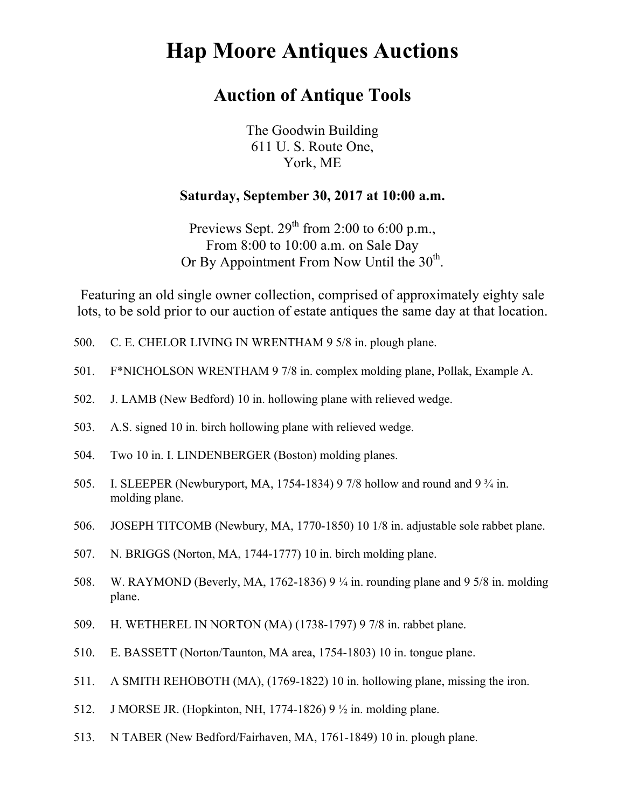## **Hap Moore Antiques Auctions**

## **Auction of Antique Tools**

The Goodwin Building 611 U. S. Route One, York, ME

## **Saturday, September 30, 2017 at 10:00 a.m.**

Previews Sept.  $29^{th}$  from 2:00 to 6:00 p.m., From 8:00 to 10:00 a.m. on Sale Day Or By Appointment From Now Until the  $30<sup>th</sup>$ .

Featuring an old single owner collection, comprised of approximately eighty sale lots, to be sold prior to our auction of estate antiques the same day at that location.

- 500. C. E. CHELOR LIVING IN WRENTHAM 9 5/8 in. plough plane.
- 501. F\*NICHOLSON WRENTHAM 9 7/8 in. complex molding plane, Pollak, Example A.
- 502. J. LAMB (New Bedford) 10 in. hollowing plane with relieved wedge.
- 503. A.S. signed 10 in. birch hollowing plane with relieved wedge.
- 504. Two 10 in. I. LINDENBERGER (Boston) molding planes.
- 505. I. SLEEPER (Newburyport, MA, 1754-1834) 9 7/8 hollow and round and 9 ¾ in. molding plane.
- 506. JOSEPH TITCOMB (Newbury, MA, 1770-1850) 10 1/8 in. adjustable sole rabbet plane.
- 507. N. BRIGGS (Norton, MA, 1744-1777) 10 in. birch molding plane.
- 508. W. RAYMOND (Beverly, MA, 1762-1836) 9 ¼ in. rounding plane and 9 5/8 in. molding plane.
- 509. H. WETHEREL IN NORTON (MA) (1738-1797) 9 7/8 in. rabbet plane.
- 510. E. BASSETT (Norton/Taunton, MA area, 1754-1803) 10 in. tongue plane.
- 511. A SMITH REHOBOTH (MA), (1769-1822) 10 in. hollowing plane, missing the iron.
- 512. J MORSE JR. (Hopkinton, NH, 1774-1826) 9 ½ in. molding plane.
- 513. N TABER (New Bedford/Fairhaven, MA, 1761-1849) 10 in. plough plane.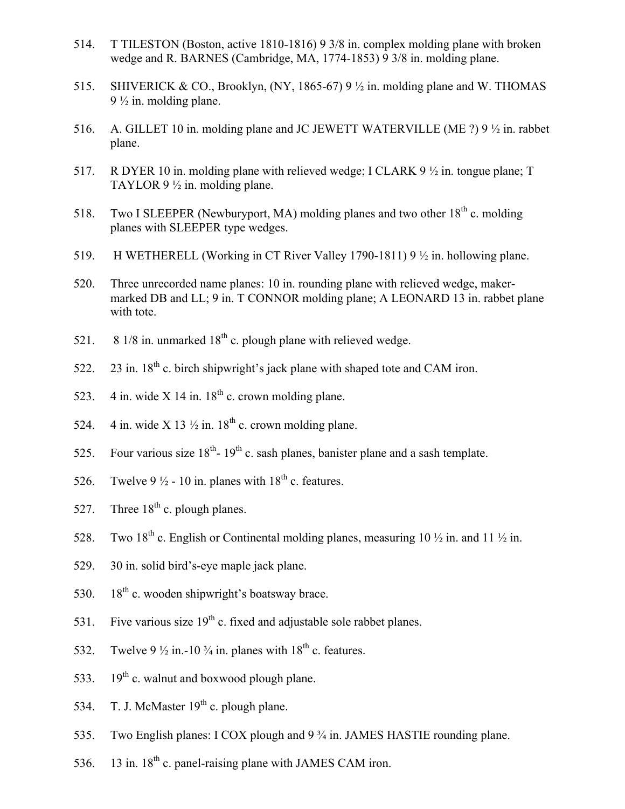- 514. T TILESTON (Boston, active 1810-1816) 9 3/8 in. complex molding plane with broken wedge and R. BARNES (Cambridge, MA, 1774-1853) 9 3/8 in. molding plane.
- 515. SHIVERICK & CO., Brooklyn, (NY, 1865-67) 9 ½ in. molding plane and W. THOMAS  $9\frac{1}{2}$  in. molding plane.
- 516. A. GILLET 10 in. molding plane and JC JEWETT WATERVILLE (ME ?) 9 ½ in. rabbet plane.
- 517. R DYER 10 in. molding plane with relieved wedge; I CLARK 9 ½ in. tongue plane; T TAYLOR 9 ½ in. molding plane.
- 518. Two I SLEEPER (Newburyport, MA) molding planes and two other  $18<sup>th</sup>$  c. molding planes with SLEEPER type wedges.
- 519. H WETHERELL (Working in CT River Valley 1790-1811) 9 ½ in. hollowing plane.
- 520. Three unrecorded name planes: 10 in. rounding plane with relieved wedge, makermarked DB and LL; 9 in. T CONNOR molding plane; A LEONARD 13 in. rabbet plane with tote.
- 521. 8 1/8 in. unmarked  $18<sup>th</sup>$  c. plough plane with relieved wedge.
- 522. 23 in.  $18<sup>th</sup>$  c. birch shipwright's jack plane with shaped tote and CAM iron.
- 523. 4 in. wide X 14 in.  $18<sup>th</sup>$  c. crown molding plane.
- 524. 4 in. wide X 13  $\frac{1}{2}$  in. 18<sup>th</sup> c. crown molding plane.
- 525. Four various size  $18^{th}$   $19^{th}$  c. sash planes, banister plane and a sash template.
- 526. Twelve 9  $\frac{1}{2}$  10 in. planes with 18<sup>th</sup> c. features.
- 527. Three  $18<sup>th</sup>$  c. plough planes.
- 528. Two 18<sup>th</sup> c. English or Continental molding planes, measuring 10  $\frac{1}{2}$  in. and 11  $\frac{1}{2}$  in.
- 529. 30 in. solid bird's-eye maple jack plane.
- 530.  $18<sup>th</sup>$  c. wooden shipwright's boatsway brace.
- 531. Five various size  $19<sup>th</sup>$  c. fixed and adjustable sole rabbet planes.
- 532. Twelve 9  $\frac{1}{2}$  in. -10  $\frac{3}{4}$  in. planes with 18<sup>th</sup> c. features.
- 533. 19<sup>th</sup> c. walnut and boxwood plough plane.
- 534. T. J. McMaster  $19<sup>th</sup>$  c. plough plane.
- 535. Two English planes: I COX plough and 9 ¾ in. JAMES HASTIE rounding plane.
- 536. 13 in.  $18^{th}$  c. panel-raising plane with JAMES CAM iron.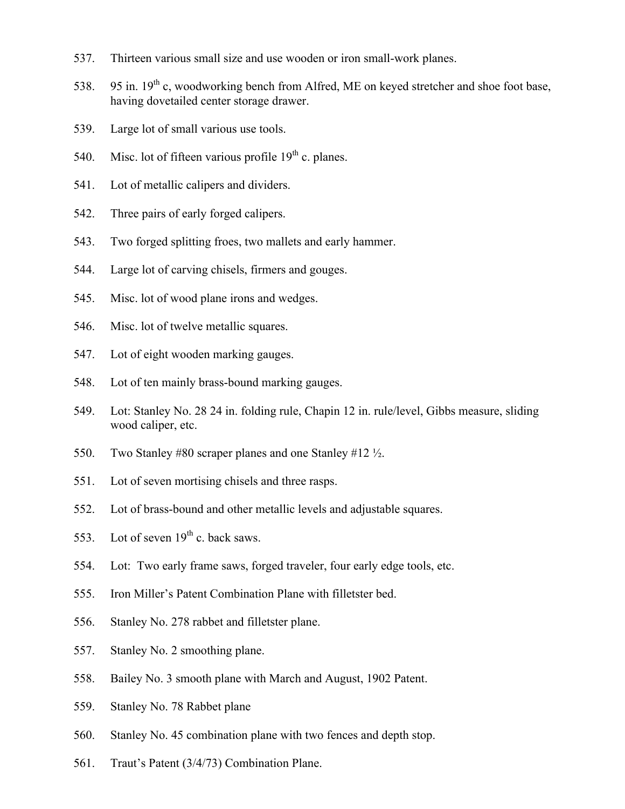- 537. Thirteen various small size and use wooden or iron small-work planes.
- 538. 95 in.  $19^{th}$  c, woodworking bench from Alfred, ME on keyed stretcher and shoe foot base, having dovetailed center storage drawer.
- 539. Large lot of small various use tools.
- 540. Misc. lot of fifteen various profile  $19<sup>th</sup>$  c. planes.
- 541. Lot of metallic calipers and dividers.
- 542. Three pairs of early forged calipers.
- 543. Two forged splitting froes, two mallets and early hammer.
- 544. Large lot of carving chisels, firmers and gouges.
- 545. Misc. lot of wood plane irons and wedges.
- 546. Misc. lot of twelve metallic squares.
- 547. Lot of eight wooden marking gauges.
- 548. Lot of ten mainly brass-bound marking gauges.
- 549. Lot: Stanley No. 28 24 in. folding rule, Chapin 12 in. rule/level, Gibbs measure, sliding wood caliper, etc.
- 550. Two Stanley #80 scraper planes and one Stanley #12 ½.
- 551. Lot of seven mortising chisels and three rasps.
- 552. Lot of brass-bound and other metallic levels and adjustable squares.
- 553. Lot of seven  $19<sup>th</sup>$  c. back saws.
- 554. Lot: Two early frame saws, forged traveler, four early edge tools, etc.
- 555. Iron Miller's Patent Combination Plane with filletster bed.
- 556. Stanley No. 278 rabbet and filletster plane.
- 557. Stanley No. 2 smoothing plane.
- 558. Bailey No. 3 smooth plane with March and August, 1902 Patent.
- 559. Stanley No. 78 Rabbet plane
- 560. Stanley No. 45 combination plane with two fences and depth stop.
- 561. Traut's Patent (3/4/73) Combination Plane.